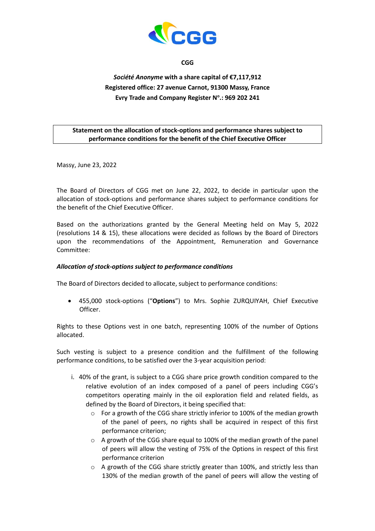

**CGG**

## *Société Anonyme* **with a share capital of €7,117,912 Registered office: 27 avenue Carnot, 91300 Massy, France Evry Trade and Company Register N<sup>o</sup> .: 969 202 241**

## **Statement on the allocation of stock-options and performance shares subject to performance conditions for the benefit of the Chief Executive Officer**

Massy, June 23, 2022

The Board of Directors of CGG met on June 22, 2022, to decide in particular upon the allocation of stock-options and performance shares subject to performance conditions for the benefit of the Chief Executive Officer.

Based on the authorizations granted by the General Meeting held on May 5, 2022 (resolutions 14 & 15), these allocations were decided as follows by the Board of Directors upon the recommendations of the Appointment, Remuneration and Governance Committee:

## *Allocation of stock-options subject to performance conditions*

The Board of Directors decided to allocate, subject to performance conditions:

• 455,000 stock-options ("**Options**") to Mrs. Sophie ZURQUIYAH, Chief Executive Officer.

Rights to these Options vest in one batch, representing 100% of the number of Options allocated.

Such vesting is subject to a presence condition and the fulfillment of the following performance conditions, to be satisfied over the 3-year acquisition period:

- i. 40% of the grant, is subject to a CGG share price growth condition compared to the relative evolution of an index composed of a panel of peers including CGG's competitors operating mainly in the oil exploration field and related fields, as defined by the Board of Directors, it being specified that:
	- o For a growth of the CGG share strictly inferior to 100% of the median growth of the panel of peers, no rights shall be acquired in respect of this first performance criterion;
	- o A growth of the CGG share equal to 100% of the median growth of the panel of peers will allow the vesting of 75% of the Options in respect of this first performance criterion
	- $\circ$  A growth of the CGG share strictly greater than 100%, and strictly less than 130% of the median growth of the panel of peers will allow the vesting of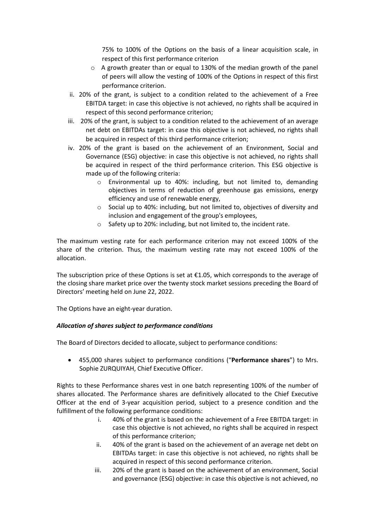75% to 100% of the Options on the basis of a linear acquisition scale, in respect of this first performance criterion

- o A growth greater than or equal to 130% of the median growth of the panel of peers will allow the vesting of 100% of the Options in respect of this first performance criterion.
- ii. 20% of the grant, is subject to a condition related to the achievement of a Free EBITDA target: in case this objective is not achieved, no rights shall be acquired in respect of this second performance criterion;
- iii. 20% of the grant, is subject to a condition related to the achievement of an average net debt on EBITDAs target: in case this objective is not achieved, no rights shall be acquired in respect of this third performance criterion;
- iv. 20% of the grant is based on the achievement of an Environment, Social and Governance (ESG) objective: in case this objective is not achieved, no rights shall be acquired in respect of the third performance criterion. This ESG objective is made up of the following criteria:
	- $\circ$  Environmental up to 40%: including, but not limited to, demanding objectives in terms of reduction of greenhouse gas emissions, energy efficiency and use of renewable energy,
	- o Social up to 40%: including, but not limited to, objectives of diversity and inclusion and engagement of the group's employees,
	- o Safety up to 20%: including, but not limited to, the incident rate.

The maximum vesting rate for each performance criterion may not exceed 100% of the share of the criterion. Thus, the maximum vesting rate may not exceed 100% of the allocation.

The subscription price of these Options is set at €1.05, which corresponds to the average of the closing share market price over the twenty stock market sessions preceding the Board of Directors' meeting held on June 22, 2022.

The Options have an eight-year duration.

## *Allocation of shares subject to performance conditions*

The Board of Directors decided to allocate, subject to performance conditions:

• 455,000 shares subject to performance conditions ("**Performance shares**") to Mrs. Sophie ZURQUIYAH, Chief Executive Officer.

Rights to these Performance shares vest in one batch representing 100% of the number of shares allocated. The Performance shares are definitively allocated to the Chief Executive Officer at the end of 3-year acquisition period, subject to a presence condition and the fulfillment of the following performance conditions:

- i. 40% of the grant is based on the achievement of a Free EBITDA target: in case this objective is not achieved, no rights shall be acquired in respect of this performance criterion;
- ii. 40% of the grant is based on the achievement of an average net debt on EBITDAs target: in case this objective is not achieved, no rights shall be acquired in respect of this second performance criterion.
- iii. 20% of the grant is based on the achievement of an environment, Social and governance (ESG) objective: in case this objective is not achieved, no